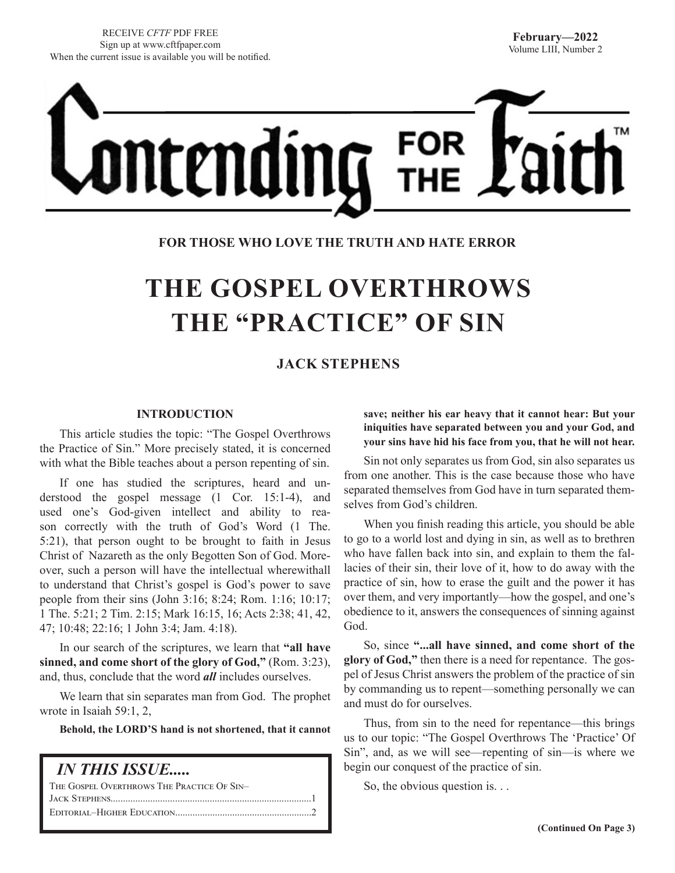

## **FOR THOSE WHO LOVE THE TRUTH AND HATE ERROR**

# **THE GOSPEL OVERTHROWS THE "PRACTICE" OF SIN**

# **JACK STEPHENS**

#### **INTRODUCTION**

This article studies the topic: "The Gospel Overthrows the Practice of Sin." More precisely stated, it is concerned with what the Bible teaches about a person repenting of sin.

If one has studied the scriptures, heard and understood the gospel message (1 Cor. 15:1-4), and used one's God-given intellect and ability to reason correctly with the truth of God's Word (1 The. 5:21), that person ought to be brought to faith in Jesus Christ of Nazareth as the only Begotten Son of God. Moreover, such a person will have the intellectual wherewithall to understand that Christ's gospel is God's power to save people from their sins (John 3:16; 8:24; Rom. 1:16; 10:17; 1 The. 5:21; 2 Tim. 2:15; Mark 16:15, 16; Acts 2:38; 41, 42, 47; 10:48; 22:16; 1 John 3:4; Jam. 4:18).

In our search of the scriptures, we learn that **"all have sinned, and come short of the glory of God,"** (Rom. 3:23), and, thus, conclude that the word *all* includes ourselves.

We learn that sin separates man from God. The prophet wrote in Isaiah 59:1, 2,

**Behold, the LORD'S hand is not shortened, that it cannot** 

| <i><b>IN THIS ISSUE</b></i>                |
|--------------------------------------------|
| THE GOSPEL OVERTHROWS THE PRACTICE OF SIN- |
|                                            |
|                                            |

**save; neither his ear heavy that it cannot hear: But your iniquities have separated between you and your God, and your sins have hid his face from you, that he will not hear.**

Sin not only separates us from God, sin also separates us from one another. This is the case because those who have separated themselves from God have in turn separated themselves from God's children.

When you finish reading this article, you should be able to go to a world lost and dying in sin, as well as to brethren who have fallen back into sin, and explain to them the fallacies of their sin, their love of it, how to do away with the practice of sin, how to erase the guilt and the power it has over them, and very importantly—how the gospel, and one's obedience to it, answers the consequences of sinning against God.

So, since **"...all have sinned, and come short of the glory of God,"** then there is a need for repentance. The gospel of Jesus Christ answers the problem of the practice of sin by commanding us to repent—something personally we can and must do for ourselves.

Thus, from sin to the need for repentance—this brings us to our topic: "The Gospel Overthrows The 'Practice' Of Sin", and, as we will see—repenting of sin—is where we begin our conquest of the practice of sin.

So, the obvious question is. . .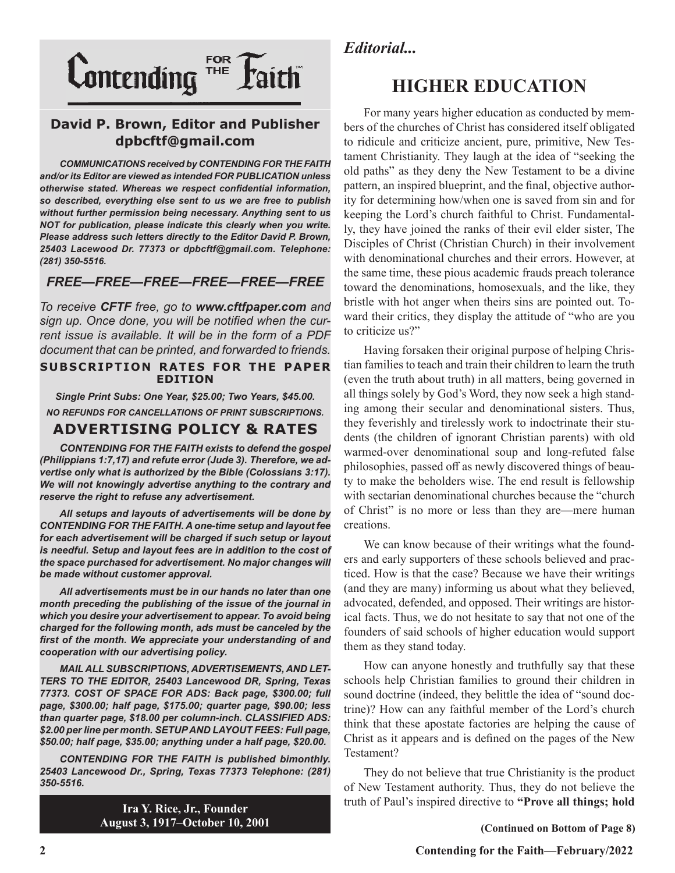

# **David P. Brown, Editor and Publisher dpbcftf@gmail.com**

*COMMUNICATIONS received by CONTENDING FOR THE FAITH and/or its Editor are viewed as intended FOR PUBLICATION unless otherwise stated. Whereas we respect confidential information, so described, everything else sent to us we are free to publish without further permission being necessary. Anything sent to us NOT for publication, please indicate this clearly when you write. Please address such letters directly to the Editor David P. Brown, 25403 Lacewood Dr. 77373 or dpbcftf@gmail.com. Telephone: (281) 350-5516.*

## *FREE—FREE—FREE—FREE—FREE—FREE*

*To receive CFTF free, go to www.cftfpaper.com and sign up. Once done, you will be notified when the current issue is available. It will be in the form of a PDF document that can be printed, and forwarded to friends.*

#### **SUBSCRIPTION RATES FOR THE PAPER EDITION**

*Single Print Subs: One Year, \$25.00; Two Years, \$45.00. NO REFUNDS FOR CANCELLATIONS OF PRINT SUBSCRIPTIONS.*

# **ADVERTISING POLICY & RATES**

*CONTENDING FOR THE FAITH exists to defend the gospel (Philippians 1:7,17) and refute error (Jude 3). Therefore, we advertise only what is authorized by the Bible (Colossians 3:17). We will not knowingly advertise anything to the contrary and reserve the right to refuse any advertisement.*

*All setups and layouts of advertisements will be done by CONTENDING FOR THE FAITH. A one-time setup and layout fee for each advertisement will be charged if such setup or layout*  is needful. Setup and layout fees are in addition to the cost of *the space purchased for advertisement. No major changes will be made without customer approval.*

*All advertisements must be in our hands no later than one month preceding the publishing of the issue of the journal in which you desire your advertisement to appear. To avoid being charged for the following month, ads must be canceled by the first of the month. We appreciate your understanding of and cooperation with our advertising policy.*

*MAIL ALL SUBSCRIPTIONS, ADVERTISEMENTS, AND LET-TERS TO THE EDITOR, 25403 Lancewood DR, Spring, Texas 77373. COST OF SPACE FOR ADS: Back page, \$300.00; full page, \$300.00; half page, \$175.00; quarter page, \$90.00; less than quarter page, \$18.00 per column-inch. CLASSIFIED ADS: \$2.00 per line per month. SETUP AND LAYOUT FEES: Full page, \$50.00; half page, \$35.00; anything under a half page, \$20.00.*

*CONTENDING FOR THE FAITH is published bimonthly. 25403 Lancewood Dr., Spring, Texas 77373 Telephone: (281) 350-5516.*

> **Ira Y. Rice, Jr., Founder August 3, 1917–October 10, 2001**

# *Editorial...*

# **HIGHER EDUCATION**

For many years higher education as conducted by members of the churches of Christ has considered itself obligated to ridicule and criticize ancient, pure, primitive, New Testament Christianity. They laugh at the idea of "seeking the old paths" as they deny the New Testament to be a divine pattern, an inspired blueprint, and the final, objective authority for determining how/when one is saved from sin and for keeping the Lord's church faithful to Christ. Fundamentally, they have joined the ranks of their evil elder sister, The Disciples of Christ (Christian Church) in their involvement with denominational churches and their errors. However, at the same time, these pious academic frauds preach tolerance toward the denominations, homosexuals, and the like, they bristle with hot anger when theirs sins are pointed out. Toward their critics, they display the attitude of "who are you to criticize us?"

Having forsaken their original purpose of helping Christian families to teach and train their children to learn the truth (even the truth about truth) in all matters, being governed in all things solely by God's Word, they now seek a high standing among their secular and denominational sisters. Thus, they feverishly and tirelessly work to indoctrinate their students (the children of ignorant Christian parents) with old warmed-over denominational soup and long-refuted false philosophies, passed off as newly discovered things of beauty to make the beholders wise. The end result is fellowship with sectarian denominational churches because the "church of Christ" is no more or less than they are—mere human creations.

We can know because of their writings what the founders and early supporters of these schools believed and practiced. How is that the case? Because we have their writings (and they are many) informing us about what they believed, advocated, defended, and opposed. Their writings are historical facts. Thus, we do not hesitate to say that not one of the founders of said schools of higher education would support them as they stand today.

How can anyone honestly and truthfully say that these schools help Christian families to ground their children in sound doctrine (indeed, they belittle the idea of "sound doctrine)? How can any faithful member of the Lord's church think that these apostate factories are helping the cause of Christ as it appears and is defined on the pages of the New Testament?

They do not believe that true Christianity is the product of New Testament authority. Thus, they do not believe the truth of Paul's inspired directive to **"Prove all things; hold** 

**(Continued on Bottom of Page 8)**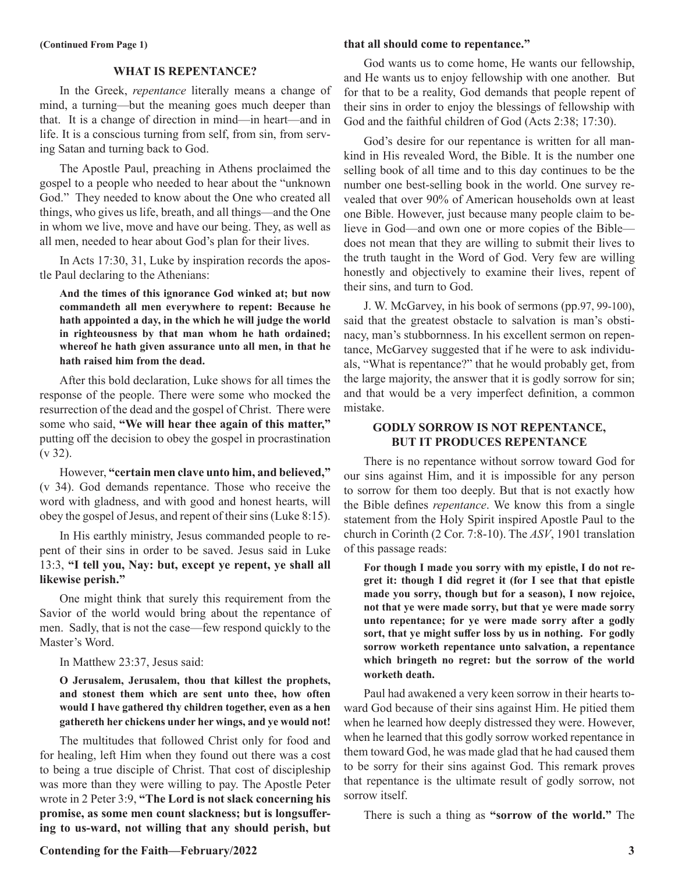#### **WHAT IS REPENTANCE?**

In the Greek, *repentance* literally means a change of mind, a turning—but the meaning goes much deeper than that. It is a change of direction in mind—in heart—and in life. It is a conscious turning from self, from sin, from serving Satan and turning back to God.

The Apostle Paul, preaching in Athens proclaimed the gospel to a people who needed to hear about the "unknown God." They needed to know about the One who created all things, who gives us life, breath, and all things—and the One in whom we live, move and have our being. They, as well as all men, needed to hear about God's plan for their lives.

In Acts 17:30, 31, Luke by inspiration records the apostle Paul declaring to the Athenians:

**And the times of this ignorance God winked at; but now commandeth all men everywhere to repent: Because he hath appointed a day, in the which he will judge the world in righteousness by that man whom he hath ordained; whereof he hath given assurance unto all men, in that he hath raised him from the dead.**

After this bold declaration, Luke shows for all times the response of the people. There were some who mocked the resurrection of the dead and the gospel of Christ. There were some who said, **"We will hear thee again of this matter,"** putting off the decision to obey the gospel in procrastination (v 32).

However, **"certain men clave unto him, and believed,"**  (v 34). God demands repentance. Those who receive the word with gladness, and with good and honest hearts, will obey the gospel of Jesus, and repent of their sins (Luke 8:15).

In His earthly ministry, Jesus commanded people to repent of their sins in order to be saved. Jesus said in Luke 13:3, **"I tell you, Nay: but, except ye repent, ye shall all likewise perish."**

One might think that surely this requirement from the Savior of the world would bring about the repentance of men. Sadly, that is not the case—few respond quickly to the Master's Word.

#### In Matthew 23:37, Jesus said:

**O Jerusalem, Jerusalem, thou that killest the prophets, and stonest them which are sent unto thee, how often would I have gathered thy children together, even as a hen gathereth her chickens under her wings, and ye would not!**

The multitudes that followed Christ only for food and for healing, left Him when they found out there was a cost to being a true disciple of Christ. That cost of discipleship was more than they were willing to pay. The Apostle Peter wrote in 2 Peter 3:9, **"The Lord is not slack concerning his promise, as some men count slackness; but is longsuffering to us-ward, not willing that any should perish, but** 

#### **that all should come to repentance."**

God wants us to come home, He wants our fellowship, and He wants us to enjoy fellowship with one another. But for that to be a reality, God demands that people repent of their sins in order to enjoy the blessings of fellowship with God and the faithful children of God (Acts 2:38; 17:30).

God's desire for our repentance is written for all mankind in His revealed Word, the Bible. It is the number one selling book of all time and to this day continues to be the number one best-selling book in the world. One survey revealed that over 90% of American households own at least one Bible. However, just because many people claim to believe in God—and own one or more copies of the Bible does not mean that they are willing to submit their lives to the truth taught in the Word of God. Very few are willing honestly and objectively to examine their lives, repent of their sins, and turn to God.

J. W. McGarvey, in his book of sermons (pp.97, 99-100), said that the greatest obstacle to salvation is man's obstinacy, man's stubbornness. In his excellent sermon on repentance, McGarvey suggested that if he were to ask individuals, "What is repentance?" that he would probably get, from the large majority, the answer that it is godly sorrow for sin; and that would be a very imperfect definition, a common mistake.

#### **GODLY SORROW IS NOT REPENTANCE, BUT IT PRODUCES REPENTANCE**

There is no repentance without sorrow toward God for our sins against Him, and it is impossible for any person to sorrow for them too deeply. But that is not exactly how the Bible defines *repentance*. We know this from a single statement from the Holy Spirit inspired Apostle Paul to the church in Corinth (2 Cor. 7:8-10). The *ASV*, 1901 translation of this passage reads:

**For though I made you sorry with my epistle, I do not regret it: though I did regret it (for I see that that epistle made you sorry, though but for a season), I now rejoice, not that ye were made sorry, but that ye were made sorry unto repentance; for ye were made sorry after a godly sort, that ye might suffer loss by us in nothing. For godly sorrow worketh repentance unto salvation, a repentance which bringeth no regret: but the sorrow of the world worketh death.**

Paul had awakened a very keen sorrow in their hearts toward God because of their sins against Him. He pitied them when he learned how deeply distressed they were. However, when he learned that this godly sorrow worked repentance in them toward God, he was made glad that he had caused them to be sorry for their sins against God. This remark proves that repentance is the ultimate result of godly sorrow, not sorrow itself.

There is such a thing as **"sorrow of the world."** The

**Contending for the Faith—February/2022 3**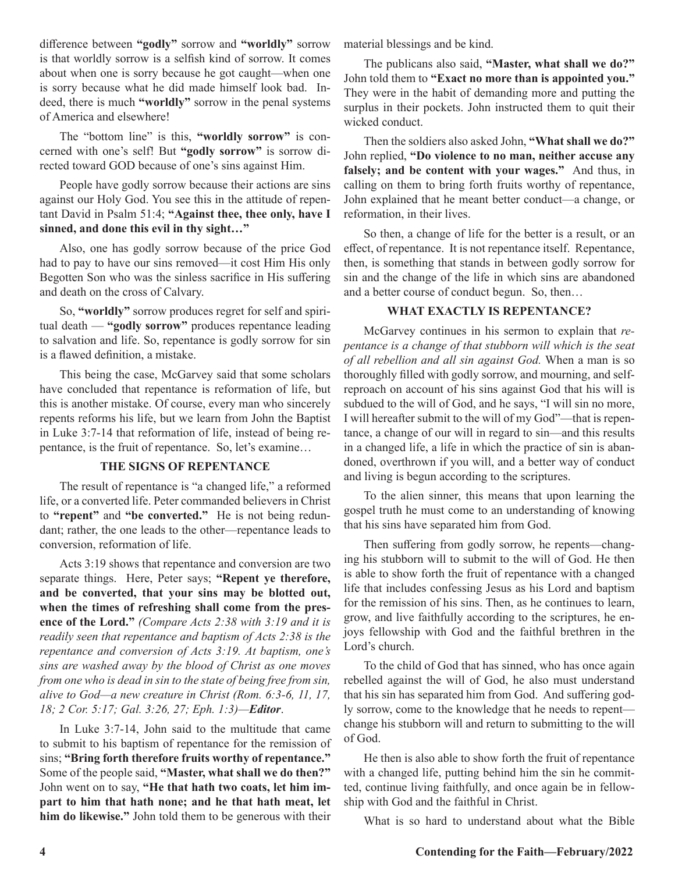difference between **"godly"** sorrow and **"worldly"** sorrow is that worldly sorrow is a selfish kind of sorrow. It comes about when one is sorry because he got caught—when one is sorry because what he did made himself look bad. Indeed, there is much **"worldly"** sorrow in the penal systems of America and elsewhere!

The "bottom line" is this, **"worldly sorrow"** is concerned with one's self! But **"godly sorrow"** is sorrow directed toward GOD because of one's sins against Him.

People have godly sorrow because their actions are sins against our Holy God. You see this in the attitude of repentant David in Psalm 51:4; **"Against thee, thee only, have I sinned, and done this evil in thy sight…"**

Also, one has godly sorrow because of the price God had to pay to have our sins removed—it cost Him His only Begotten Son who was the sinless sacrifice in His suffering and death on the cross of Calvary.

So, **"worldly"** sorrow produces regret for self and spiritual death — **"godly sorrow"** produces repentance leading to salvation and life. So, repentance is godly sorrow for sin is a flawed definition, a mistake.

This being the case, McGarvey said that some scholars have concluded that repentance is reformation of life, but this is another mistake. Of course, every man who sincerely repents reforms his life, but we learn from John the Baptist in Luke 3:7-14 that reformation of life, instead of being repentance, is the fruit of repentance. So, let's examine…

#### **THE SIGNS OF REPENTANCE**

The result of repentance is "a changed life," a reformed life, or a converted life. Peter commanded believers in Christ to **"repent"** and **"be converted."** He is not being redundant; rather, the one leads to the other—repentance leads to conversion, reformation of life.

Acts 3:19 shows that repentance and conversion are two separate things. Here, Peter says; **"Repent ye therefore, and be converted, that your sins may be blotted out, when the times of refreshing shall come from the presence of the Lord."** *(Compare Acts 2:38 with 3:19 and it is readily seen that repentance and baptism of Acts 2:38 is the repentance and conversion of Acts 3:19. At baptism, one's sins are washed away by the blood of Christ as one moves from one who is dead in sin to the state of being free from sin, alive to God—a new creature in Christ (Rom. 6:3-6, 11, 17, 18; 2 Cor. 5:17; Gal. 3:26, 27; Eph. 1:3)—Editor*.

In Luke 3:7-14, John said to the multitude that came to submit to his baptism of repentance for the remission of sins; **"Bring forth therefore fruits worthy of repentance."** Some of the people said, **"Master, what shall we do then?"**  John went on to say, **"He that hath two coats, let him impart to him that hath none; and he that hath meat, let him do likewise."** John told them to be generous with their

material blessings and be kind.

The publicans also said, **"Master, what shall we do?"**  John told them to **"Exact no more than is appointed you."**  They were in the habit of demanding more and putting the surplus in their pockets. John instructed them to quit their wicked conduct.

Then the soldiers also asked John, **"What shall we do?"**  John replied, **"Do violence to no man, neither accuse any falsely; and be content with your wages."** And thus, in calling on them to bring forth fruits worthy of repentance, John explained that he meant better conduct—a change, or reformation, in their lives.

So then, a change of life for the better is a result, or an effect, of repentance. It is not repentance itself. Repentance, then, is something that stands in between godly sorrow for sin and the change of the life in which sins are abandoned and a better course of conduct begun. So, then…

#### **WHAT EXACTLY IS REPENTANCE?**

McGarvey continues in his sermon to explain that *repentance is a change of that stubborn will which is the seat of all rebellion and all sin against God.* When a man is so thoroughly filled with godly sorrow, and mourning, and selfreproach on account of his sins against God that his will is subdued to the will of God, and he says, "I will sin no more, I will hereafter submit to the will of my God"—that is repentance, a change of our will in regard to sin—and this results in a changed life, a life in which the practice of sin is abandoned, overthrown if you will, and a better way of conduct and living is begun according to the scriptures.

To the alien sinner, this means that upon learning the gospel truth he must come to an understanding of knowing that his sins have separated him from God.

Then suffering from godly sorrow, he repents—changing his stubborn will to submit to the will of God. He then is able to show forth the fruit of repentance with a changed life that includes confessing Jesus as his Lord and baptism for the remission of his sins. Then, as he continues to learn, grow, and live faithfully according to the scriptures, he enjoys fellowship with God and the faithful brethren in the Lord's church.

To the child of God that has sinned, who has once again rebelled against the will of God, he also must understand that his sin has separated him from God. And suffering godly sorrow, come to the knowledge that he needs to repent change his stubborn will and return to submitting to the will of God.

He then is also able to show forth the fruit of repentance with a changed life, putting behind him the sin he committed, continue living faithfully, and once again be in fellowship with God and the faithful in Christ.

What is so hard to understand about what the Bible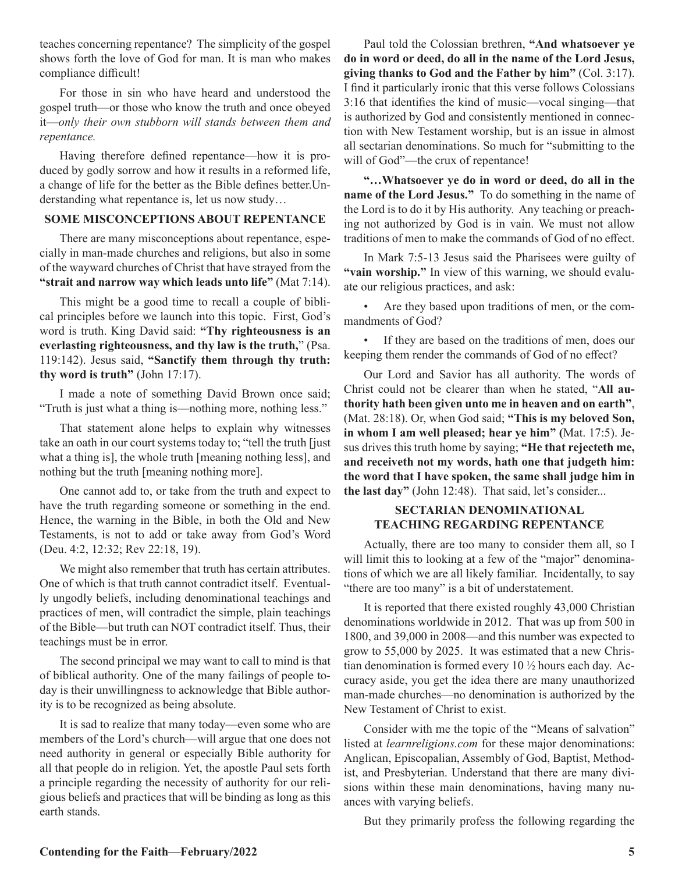teaches concerning repentance? The simplicity of the gospel shows forth the love of God for man. It is man who makes compliance difficult!

For those in sin who have heard and understood the gospel truth—or those who know the truth and once obeyed it—*only their own stubborn will stands between them and repentance.*

Having therefore defined repentance—how it is produced by godly sorrow and how it results in a reformed life, a change of life for the better as the Bible defines better.Understanding what repentance is, let us now study…

#### **SOME MISCONCEPTIONS ABOUT REPENTANCE**

There are many misconceptions about repentance, especially in man-made churches and religions, but also in some of the wayward churches of Christ that have strayed from the **"strait and narrow way which leads unto life"** (Mat 7:14).

This might be a good time to recall a couple of biblical principles before we launch into this topic. First, God's word is truth. King David said: **"Thy righteousness is an everlasting righteousness, and thy law is the truth,**" (Psa. 119:142). Jesus said, **"Sanctify them through thy truth: thy word is truth"** (John 17:17).

I made a note of something David Brown once said; "Truth is just what a thing is—nothing more, nothing less."

That statement alone helps to explain why witnesses take an oath in our court systems today to; "tell the truth [just what a thing is], the whole truth [meaning nothing less], and nothing but the truth [meaning nothing more].

One cannot add to, or take from the truth and expect to have the truth regarding someone or something in the end. Hence, the warning in the Bible, in both the Old and New Testaments, is not to add or take away from God's Word (Deu. 4:2, 12:32; Rev 22:18, 19).

We might also remember that truth has certain attributes. One of which is that truth cannot contradict itself. Eventually ungodly beliefs, including denominational teachings and practices of men, will contradict the simple, plain teachings of the Bible—but truth can NOT contradict itself. Thus, their teachings must be in error.

The second principal we may want to call to mind is that of biblical authority. One of the many failings of people today is their unwillingness to acknowledge that Bible authority is to be recognized as being absolute.

It is sad to realize that many today—even some who are members of the Lord's church—will argue that one does not need authority in general or especially Bible authority for all that people do in religion. Yet, the apostle Paul sets forth a principle regarding the necessity of authority for our religious beliefs and practices that will be binding as long as this earth stands.

Paul told the Colossian brethren, **"And whatsoever ye do in word or deed, do all in the name of the Lord Jesus, giving thanks to God and the Father by him"** (Col. 3:17). I find it particularly ironic that this verse follows Colossians 3:16 that identifies the kind of music—vocal singing—that is authorized by God and consistently mentioned in connection with New Testament worship, but is an issue in almost all sectarian denominations. So much for "submitting to the will of God"—the crux of repentance!

**"…Whatsoever ye do in word or deed, do all in the name of the Lord Jesus."** To do something in the name of the Lord is to do it by His authority. Any teaching or preaching not authorized by God is in vain. We must not allow traditions of men to make the commands of God of no effect.

In Mark 7:5-13 Jesus said the Pharisees were guilty of "vain worship." In view of this warning, we should evaluate our religious practices, and ask:

Are they based upon traditions of men, or the commandments of God?

If they are based on the traditions of men, does our keeping them render the commands of God of no effect?

Our Lord and Savior has all authority. The words of Christ could not be clearer than when he stated, "**All authority hath been given unto me in heaven and on earth"**, (Mat. 28:18). Or, when God said; **"This is my beloved Son, in whom I am well pleased; hear ye him" (**Mat. 17:5). Jesus drives this truth home by saying; **"He that rejecteth me, and receiveth not my words, hath one that judgeth him: the word that I have spoken, the same shall judge him in the last day"** (John 12:48). That said, let's consider...

#### **SECTARIAN DENOMINATIONAL TEACHING REGARDING REPENTANCE**

Actually, there are too many to consider them all, so I will limit this to looking at a few of the "major" denominations of which we are all likely familiar. Incidentally, to say "there are too many" is a bit of understatement.

It is reported that there existed roughly 43,000 Christian denominations worldwide in 2012. That was up from 500 in 1800, and 39,000 in 2008—and this number was expected to grow to 55,000 by 2025. It was estimated that a new Christian denomination is formed every 10 ½ hours each day. Accuracy aside, you get the idea there are many unauthorized man-made churches—no denomination is authorized by the New Testament of Christ to exist.

Consider with me the topic of the "Means of salvation" listed at *learnreligions.com* for these major denominations: Anglican, Episcopalian, Assembly of God, Baptist, Methodist, and Presbyterian. Understand that there are many divisions within these main denominations, having many nuances with varying beliefs.

But they primarily profess the following regarding the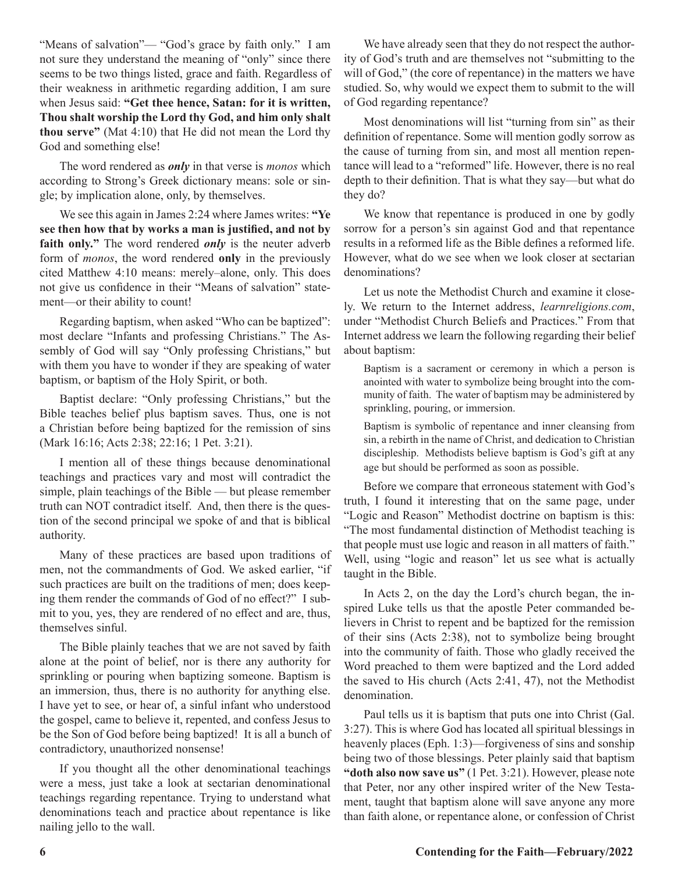"Means of salvation"— "God's grace by faith only." I am not sure they understand the meaning of "only" since there seems to be two things listed, grace and faith. Regardless of their weakness in arithmetic regarding addition, I am sure when Jesus said: **"Get thee hence, Satan: for it is written, Thou shalt worship the Lord thy God, and him only shalt thou serve"** (Mat 4:10) that He did not mean the Lord thy God and something else!

The word rendered as *only* in that verse is *monos* which according to Strong's Greek dictionary means: sole or single; by implication alone, only, by themselves.

We see this again in James 2:24 where James writes: **"Ye see then how that by works a man is justified, and not by**  faith only." The word rendered *only* is the neuter adverb form of *monos*, the word rendered **only** in the previously cited Matthew 4:10 means: merely–alone, only. This does not give us confidence in their "Means of salvation" statement—or their ability to count!

Regarding baptism, when asked "Who can be baptized": most declare "Infants and professing Christians." The Assembly of God will say "Only professing Christians," but with them you have to wonder if they are speaking of water baptism, or baptism of the Holy Spirit, or both.

Baptist declare: "Only professing Christians," but the Bible teaches belief plus baptism saves. Thus, one is not a Christian before being baptized for the remission of sins (Mark 16:16; Acts 2:38; 22:16; 1 Pet. 3:21).

I mention all of these things because denominational teachings and practices vary and most will contradict the simple, plain teachings of the Bible — but please remember truth can NOT contradict itself. And, then there is the question of the second principal we spoke of and that is biblical authority.

Many of these practices are based upon traditions of men, not the commandments of God. We asked earlier, "if such practices are built on the traditions of men; does keeping them render the commands of God of no effect?" I submit to you, yes, they are rendered of no effect and are, thus, themselves sinful.

The Bible plainly teaches that we are not saved by faith alone at the point of belief, nor is there any authority for sprinkling or pouring when baptizing someone. Baptism is an immersion, thus, there is no authority for anything else. I have yet to see, or hear of, a sinful infant who understood the gospel, came to believe it, repented, and confess Jesus to be the Son of God before being baptized! It is all a bunch of contradictory, unauthorized nonsense!

If you thought all the other denominational teachings were a mess, just take a look at sectarian denominational teachings regarding repentance. Trying to understand what denominations teach and practice about repentance is like nailing jello to the wall.

We have already seen that they do not respect the authority of God's truth and are themselves not "submitting to the will of God," (the core of repentance) in the matters we have studied. So, why would we expect them to submit to the will of God regarding repentance?

Most denominations will list "turning from sin" as their definition of repentance. Some will mention godly sorrow as the cause of turning from sin, and most all mention repentance will lead to a "reformed" life. However, there is no real depth to their definition. That is what they say—but what do they do?

We know that repentance is produced in one by godly sorrow for a person's sin against God and that repentance results in a reformed life as the Bible defines a reformed life. However, what do we see when we look closer at sectarian denominations?

Let us note the Methodist Church and examine it closely. We return to the Internet address, *learnreligions.com*, under "Methodist Church Beliefs and Practices." From that Internet address we learn the following regarding their belief about baptism:

Baptism is a sacrament or ceremony in which a person is anointed with water to symbolize being brought into the community of faith. The water of baptism may be administered by sprinkling, pouring, or immersion.

Baptism is symbolic of repentance and inner cleansing from sin, a rebirth in the name of Christ, and dedication to Christian discipleship. Methodists believe baptism is God's gift at any age but should be performed as soon as possible.

Before we compare that erroneous statement with God's truth, I found it interesting that on the same page, under "Logic and Reason" Methodist doctrine on baptism is this: "The most fundamental distinction of Methodist teaching is that people must use logic and reason in all matters of faith." Well, using "logic and reason" let us see what is actually taught in the Bible.

In Acts 2, on the day the Lord's church began, the inspired Luke tells us that the apostle Peter commanded believers in Christ to repent and be baptized for the remission of their sins (Acts 2:38), not to symbolize being brought into the community of faith. Those who gladly received the Word preached to them were baptized and the Lord added the saved to His church (Acts 2:41, 47), not the Methodist denomination.

Paul tells us it is baptism that puts one into Christ (Gal. 3:27). This is where God has located all spiritual blessings in heavenly places (Eph. 1:3)—forgiveness of sins and sonship being two of those blessings. Peter plainly said that baptism **"doth also now save us"** (1 Pet. 3:21). However, please note that Peter, nor any other inspired writer of the New Testament, taught that baptism alone will save anyone any more than faith alone, or repentance alone, or confession of Christ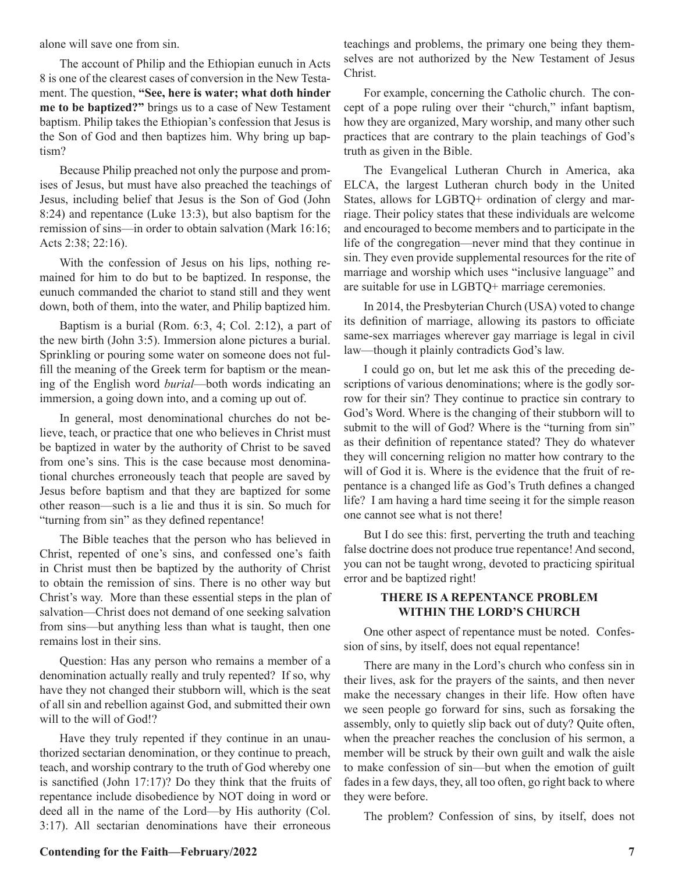alone will save one from sin.

The account of Philip and the Ethiopian eunuch in Acts 8 is one of the clearest cases of conversion in the New Testament. The question, **"See, here is water; what doth hinder me to be baptized?"** brings us to a case of New Testament baptism. Philip takes the Ethiopian's confession that Jesus is the Son of God and then baptizes him. Why bring up baptism?

Because Philip preached not only the purpose and promises of Jesus, but must have also preached the teachings of Jesus, including belief that Jesus is the Son of God (John 8:24) and repentance (Luke 13:3), but also baptism for the remission of sins—in order to obtain salvation (Mark 16:16; Acts 2:38; 22:16).

With the confession of Jesus on his lips, nothing remained for him to do but to be baptized. In response, the eunuch commanded the chariot to stand still and they went down, both of them, into the water, and Philip baptized him.

Baptism is a burial (Rom. 6:3, 4; Col. 2:12), a part of the new birth (John 3:5). Immersion alone pictures a burial. Sprinkling or pouring some water on someone does not fulfill the meaning of the Greek term for baptism or the meaning of the English word *burial*—both words indicating an immersion, a going down into, and a coming up out of.

In general, most denominational churches do not believe, teach, or practice that one who believes in Christ must be baptized in water by the authority of Christ to be saved from one's sins. This is the case because most denominational churches erroneously teach that people are saved by Jesus before baptism and that they are baptized for some other reason—such is a lie and thus it is sin. So much for "turning from sin" as they defined repentance!

The Bible teaches that the person who has believed in Christ, repented of one's sins, and confessed one's faith in Christ must then be baptized by the authority of Christ to obtain the remission of sins. There is no other way but Christ's way. More than these essential steps in the plan of salvation—Christ does not demand of one seeking salvation from sins—but anything less than what is taught, then one remains lost in their sins.

Question: Has any person who remains a member of a denomination actually really and truly repented? If so, why have they not changed their stubborn will, which is the seat of all sin and rebellion against God, and submitted their own will to the will of God!?

Have they truly repented if they continue in an unauthorized sectarian denomination, or they continue to preach, teach, and worship contrary to the truth of God whereby one is sanctified (John 17:17)? Do they think that the fruits of repentance include disobedience by NOT doing in word or deed all in the name of the Lord—by His authority (Col. 3:17). All sectarian denominations have their erroneous

teachings and problems, the primary one being they themselves are not authorized by the New Testament of Jesus Christ.

For example, concerning the Catholic church. The concept of a pope ruling over their "church," infant baptism, how they are organized, Mary worship, and many other such practices that are contrary to the plain teachings of God's truth as given in the Bible.

The Evangelical Lutheran Church in America, aka ELCA, the largest Lutheran church body in the United States, allows for LGBTQ+ ordination of clergy and marriage. Their policy states that these individuals are welcome and encouraged to become members and to participate in the life of the congregation—never mind that they continue in sin. They even provide supplemental resources for the rite of marriage and worship which uses "inclusive language" and are suitable for use in LGBTQ+ marriage ceremonies.

In 2014, the Presbyterian Church (USA) voted to change its definition of marriage, allowing its pastors to officiate same-sex marriages wherever gay marriage is legal in civil law—though it plainly contradicts God's law.

I could go on, but let me ask this of the preceding descriptions of various denominations; where is the godly sorrow for their sin? They continue to practice sin contrary to God's Word. Where is the changing of their stubborn will to submit to the will of God? Where is the "turning from sin" as their definition of repentance stated? They do whatever they will concerning religion no matter how contrary to the will of God it is. Where is the evidence that the fruit of repentance is a changed life as God's Truth defines a changed life? I am having a hard time seeing it for the simple reason one cannot see what is not there!

But I do see this: first, perverting the truth and teaching false doctrine does not produce true repentance! And second, you can not be taught wrong, devoted to practicing spiritual error and be baptized right!

#### **THERE IS A REPENTANCE PROBLEM WITHIN THE LORD'S CHURCH**

One other aspect of repentance must be noted. Confession of sins, by itself, does not equal repentance!

There are many in the Lord's church who confess sin in their lives, ask for the prayers of the saints, and then never make the necessary changes in their life. How often have we seen people go forward for sins, such as forsaking the assembly, only to quietly slip back out of duty? Quite often, when the preacher reaches the conclusion of his sermon, a member will be struck by their own guilt and walk the aisle to make confession of sin—but when the emotion of guilt fades in a few days, they, all too often, go right back to where they were before.

The problem? Confession of sins, by itself, does not

#### **Contending for the Faith—February/2022 7**